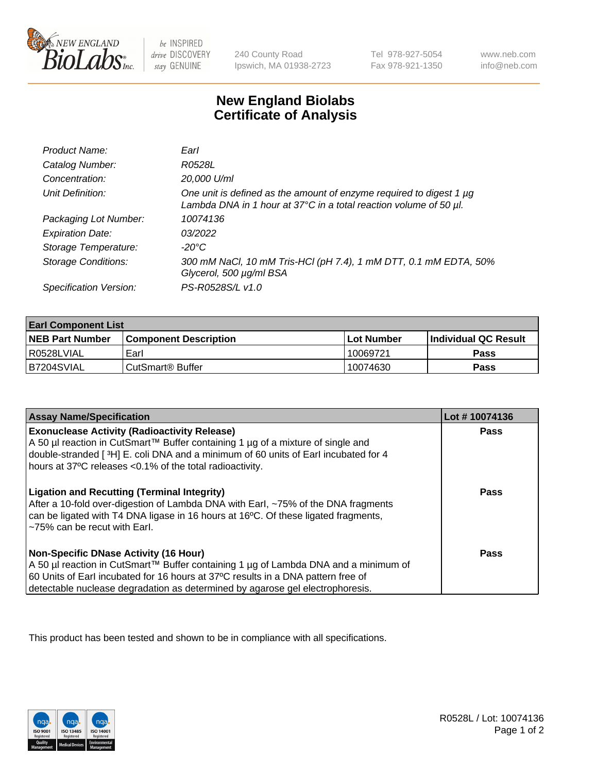

 $be$  INSPIRED drive DISCOVERY stay GENUINE

240 County Road Ipswich, MA 01938-2723 Tel 978-927-5054 Fax 978-921-1350 www.neb.com info@neb.com

## **New England Biolabs Certificate of Analysis**

| Product Name:              | Earl                                                                                                                                                    |
|----------------------------|---------------------------------------------------------------------------------------------------------------------------------------------------------|
| Catalog Number:            | R0528L                                                                                                                                                  |
| Concentration:             | 20,000 U/ml                                                                                                                                             |
| Unit Definition:           | One unit is defined as the amount of enzyme required to digest 1 µg<br>Lambda DNA in 1 hour at $37^{\circ}$ C in a total reaction volume of 50 $\mu$ l. |
| Packaging Lot Number:      | 10074136                                                                                                                                                |
| <b>Expiration Date:</b>    | 03/2022                                                                                                                                                 |
| Storage Temperature:       | $-20^{\circ}$ C                                                                                                                                         |
| <b>Storage Conditions:</b> | 300 mM NaCl, 10 mM Tris-HCl (pH 7.4), 1 mM DTT, 0.1 mM EDTA, 50%<br>Glycerol, 500 µg/ml BSA                                                             |
| Specification Version:     | PS-R0528S/L v1.0                                                                                                                                        |

| <b>Earl Component List</b> |                              |              |                             |  |
|----------------------------|------------------------------|--------------|-----------------------------|--|
| <b>NEB Part Number</b>     | <b>Component Description</b> | l Lot Number | <b>Individual QC Result</b> |  |
| I R0528LVIAL               | Earl                         | 10069721     | Pass                        |  |
| B7204SVIAL                 | l CutSmart® Buffer           | 10074630     | Pass                        |  |

| <b>Assay Name/Specification</b>                                                                                                                                                                                                                                                                            | Lot #10074136 |
|------------------------------------------------------------------------------------------------------------------------------------------------------------------------------------------------------------------------------------------------------------------------------------------------------------|---------------|
| <b>Exonuclease Activity (Radioactivity Release)</b><br>A 50 µl reaction in CutSmart™ Buffer containing 1 µg of a mixture of single and<br>double-stranded [3H] E. coli DNA and a minimum of 60 units of Earl incubated for 4<br>hours at 37°C releases <0.1% of the total radioactivity.                   | Pass          |
| <b>Ligation and Recutting (Terminal Integrity)</b><br>After a 10-fold over-digestion of Lambda DNA with Earl, ~75% of the DNA fragments<br>can be ligated with T4 DNA ligase in 16 hours at 16 <sup>o</sup> C. Of these ligated fragments,<br>~75% can be recut with Earl.                                 | Pass          |
| <b>Non-Specific DNase Activity (16 Hour)</b><br>  A 50 µl reaction in CutSmart™ Buffer containing 1 µg of Lambda DNA and a minimum of<br>60 Units of Earl incubated for 16 hours at 37°C results in a DNA pattern free of<br>detectable nuclease degradation as determined by agarose gel electrophoresis. | Pass          |

This product has been tested and shown to be in compliance with all specifications.